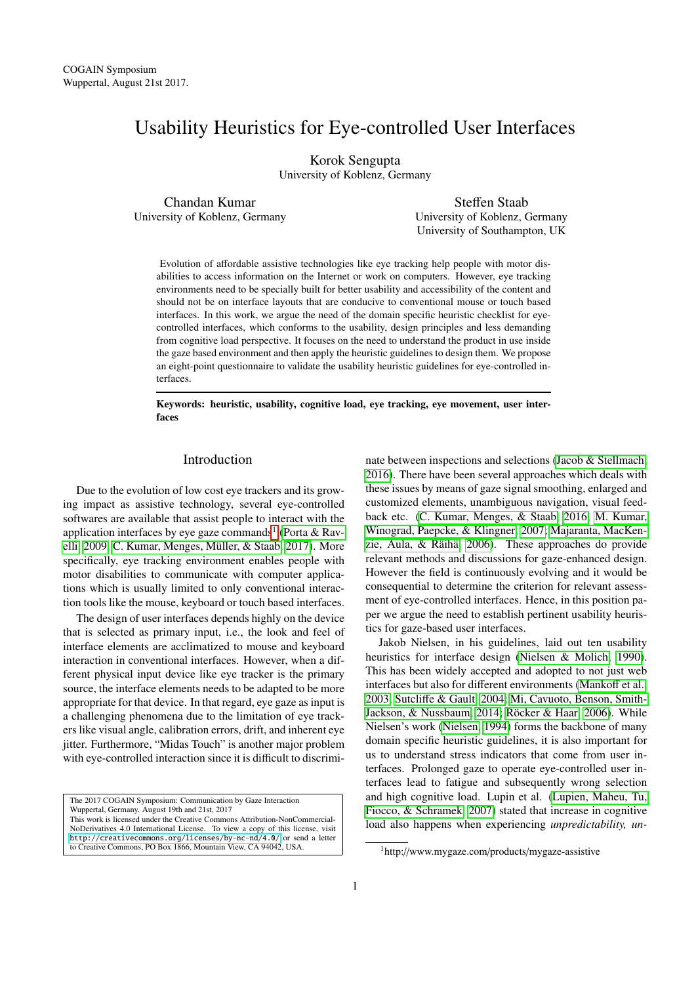# Usability Heuristics for Eye-controlled User Interfaces

Korok Sengupta University of Koblenz, Germany

Chandan Kumar University of Koblenz, Germany

Steffen Staab University of Koblenz, Germany University of Southampton, UK

Evolution of affordable assistive technologies like eye tracking help people with motor disabilities to access information on the Internet or work on computers. However, eye tracking environments need to be specially built for better usability and accessibility of the content and should not be on interface layouts that are conducive to conventional mouse or touch based interfaces. In this work, we argue the need of the domain specific heuristic checklist for eyecontrolled interfaces, which conforms to the usability, design principles and less demanding from cognitive load perspective. It focuses on the need to understand the product in use inside the gaze based environment and then apply the heuristic guidelines to design them. We propose an eight-point questionnaire to validate the usability heuristic guidelines for eye-controlled interfaces.

Keywords: heuristic, usability, cognitive load, eye tracking, eye movement, user interfaces

## Introduction

Due to the evolution of low cost eye trackers and its growing impact as assistive technology, several eye-controlled softwares are available that assist people to interact with the application interfaces by eye gaze commands<sup>[1](#page-0-0)</sup> [\(Porta & Rav](#page-2-0)[elli, 2009;](#page-2-0) [C. Kumar, Menges, Müller, & Staab, 2017\)](#page-2-1). More specifically, eye tracking environment enables people with motor disabilities to communicate with computer applications which is usually limited to only conventional interaction tools like the mouse, keyboard or touch based interfaces.

The design of user interfaces depends highly on the device that is selected as primary input, i.e., the look and feel of interface elements are acclimatized to mouse and keyboard interaction in conventional interfaces. However, when a different physical input device like eye tracker is the primary source, the interface elements needs to be adapted to be more appropriate for that device. In that regard, eye gaze as input is a challenging phenomena due to the limitation of eye trackers like visual angle, calibration errors, drift, and inherent eye jitter. Furthermore, "Midas Touch" is another major problem with eye-controlled interaction since it is difficult to discrimi-

The 2017 COGAIN Symposium: Communication by Gaze Interaction Wuppertal, Germany. August 19th and 21st, 2017 work is licensed under the Creative Commons Attribution-NonCommercial-NoDerivatives 4.0 International License. To view a copy of this license, visit <http://creativecommons.org/licenses/by-nc-nd/4.0/> or send a letter to Creative Commons, PO Box 1866, Mountain View, CA 94042, USA.

nate between inspections and selections [\(Jacob & Stellmach,](#page-2-2) [2016\)](#page-2-2). There have been several approaches which deals with these issues by means of gaze signal smoothing, enlarged and customized elements, unambiguous navigation, visual feedback etc. [\(C. Kumar, Menges, & Staab, 2016;](#page-2-3) [M. Kumar,](#page-2-4) [Winograd, Paepcke, & Klingner, 2007;](#page-2-4) [Majaranta, MacKen](#page-2-5)[zie, Aula, & Räihä, 2006\)](#page-2-5). These approaches do provide relevant methods and discussions for gaze-enhanced design. However the field is continuously evolving and it would be consequential to determine the criterion for relevant assessment of eye-controlled interfaces. Hence, in this position paper we argue the need to establish pertinent usability heuristics for gaze-based user interfaces.

Jakob Nielsen, in his guidelines, laid out ten usability heuristics for interface design [\(Nielsen & Molich, 1990\)](#page-2-6). This has been widely accepted and adopted to not just web interfaces but also for different environments [\(Manko](#page-2-7)ff et al., [2003;](#page-2-7) Sutcliff[e & Gault, 2004;](#page-2-8) [Mi, Cavuoto, Benson, Smith-](#page-2-9)[Jackson, & Nussbaum, 2014;](#page-2-9) [Röcker & Haar, 2006\)](#page-2-10). While Nielsen's work [\(Nielsen, 1994\)](#page-2-11) forms the backbone of many domain specific heuristic guidelines, it is also important for us to understand stress indicators that come from user interfaces. Prolonged gaze to operate eye-controlled user interfaces lead to fatigue and subsequently wrong selection and high cognitive load. Lupin et al. [\(Lupien, Maheu, Tu,](#page-2-12) [Fiocco, & Schramek, 2007\)](#page-2-12) stated that increase in cognitive load also happens when experiencing *unpredictability, un-*

<span id="page-0-0"></span><sup>1</sup>http://www.mygaze.com/products/mygaze-assistive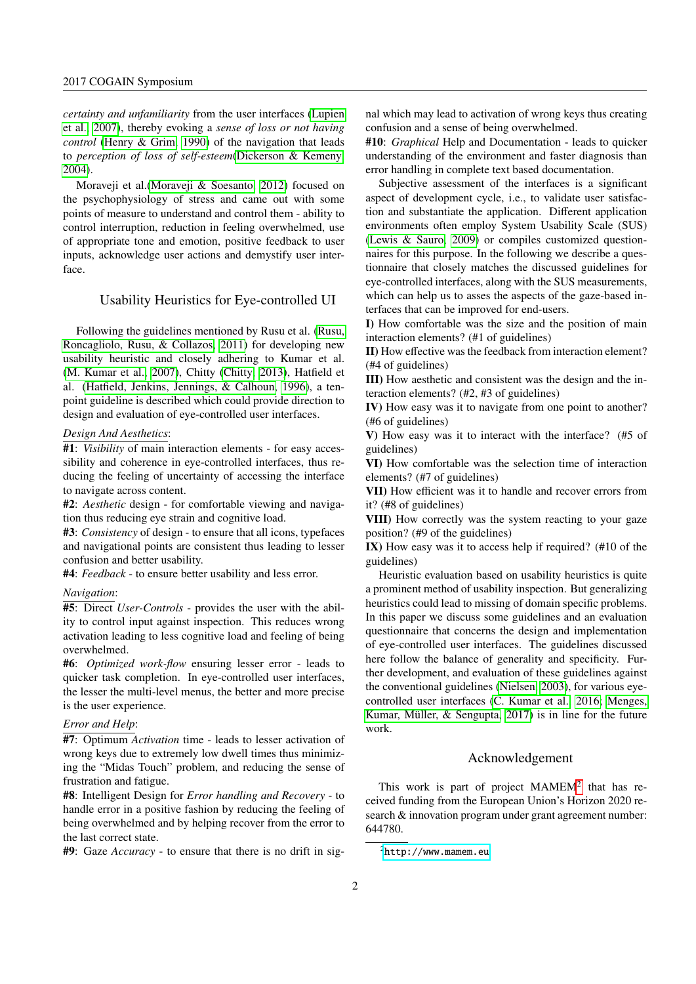*certainty and unfamiliarity* from the user interfaces [\(Lupien](#page-2-12) [et al., 2007\)](#page-2-12), thereby evoking a *sense of loss or not having control* [\(Henry & Grim, 1990\)](#page-2-13) of the navigation that leads to *perception of loss of self-esteem*[\(Dickerson & Kemeny,](#page-2-14) [2004\)](#page-2-14).

Moraveji et al.[\(Moraveji & Soesanto, 2012\)](#page-2-15) focused on the psychophysiology of stress and came out with some points of measure to understand and control them - ability to control interruption, reduction in feeling overwhelmed, use of appropriate tone and emotion, positive feedback to user inputs, acknowledge user actions and demystify user interface.

## Usability Heuristics for Eye-controlled UI

Following the guidelines mentioned by Rusu et al. [\(Rusu,](#page-2-16) [Roncagliolo, Rusu, & Collazos, 2011\)](#page-2-16) for developing new usability heuristic and closely adhering to Kumar et al. [\(M. Kumar et al., 2007\)](#page-2-4), Chitty [\(Chitty, 2013\)](#page-2-17), Hatfield et al. [\(Hatfield, Jenkins, Jennings, & Calhoun, 1996\)](#page-2-18), a tenpoint guideline is described which could provide direction to design and evaluation of eye-controlled user interfaces.

#### *Design And Aesthetics*:

#1: *Visibility* of main interaction elements - for easy accessibility and coherence in eye-controlled interfaces, thus reducing the feeling of uncertainty of accessing the interface to navigate across content.

#2: *Aesthetic* design - for comfortable viewing and navigation thus reducing eye strain and cognitive load.

#3: *Consistency* of design - to ensure that all icons, typefaces and navigational points are consistent thus leading to lesser confusion and better usability.

#4: *Feedback* - to ensure better usability and less error.

## *Navigation*:

#5: Direct *User-Controls* - provides the user with the ability to control input against inspection. This reduces wrong activation leading to less cognitive load and feeling of being overwhelmed.

#6: *Optimized work-flow* ensuring lesser error - leads to quicker task completion. In eye-controlled user interfaces, the lesser the multi-level menus, the better and more precise is the user experience.

#### *Error and Help*:

#7: Optimum *Activation* time - leads to lesser activation of wrong keys due to extremely low dwell times thus minimizing the "Midas Touch" problem, and reducing the sense of frustration and fatigue.

#8: Intelligent Design for *Error handling and Recovery* - to handle error in a positive fashion by reducing the feeling of being overwhelmed and by helping recover from the error to the last correct state.

#9: Gaze *Accuracy* - to ensure that there is no drift in sig-

nal which may lead to activation of wrong keys thus creating confusion and a sense of being overwhelmed.

#10: *Graphical* Help and Documentation - leads to quicker understanding of the environment and faster diagnosis than error handling in complete text based documentation.

Subjective assessment of the interfaces is a significant aspect of development cycle, i.e., to validate user satisfaction and substantiate the application. Different application environments often employ System Usability Scale (SUS) [\(Lewis & Sauro, 2009\)](#page-2-19) or compiles customized questionnaires for this purpose. In the following we describe a questionnaire that closely matches the discussed guidelines for eye-controlled interfaces, along with the SUS measurements, which can help us to asses the aspects of the gaze-based interfaces that can be improved for end-users.

I) How comfortable was the size and the position of main interaction elements? (#1 of guidelines)

II) How effective was the feedback from interaction element? (#4 of guidelines)

III) How aesthetic and consistent was the design and the interaction elements? (#2, #3 of guidelines)

IV) How easy was it to navigate from one point to another? (#6 of guidelines)

V) How easy was it to interact with the interface? (#5 of guidelines)

VI) How comfortable was the selection time of interaction elements? (#7 of guidelines)

VII) How efficient was it to handle and recover errors from it? (#8 of guidelines)

VIII) How correctly was the system reacting to your gaze position? (#9 of the guidelines)

IX) How easy was it to access help if required? (#10 of the guidelines)

Heuristic evaluation based on usability heuristics is quite a prominent method of usability inspection. But generalizing heuristics could lead to missing of domain specific problems. In this paper we discuss some guidelines and an evaluation questionnaire that concerns the design and implementation of eye-controlled user interfaces. The guidelines discussed here follow the balance of generality and specificity. Further development, and evaluation of these guidelines against the conventional guidelines [\(Nielsen, 2003\)](#page-2-20), for various eyecontrolled user interfaces [\(C. Kumar et al., 2016;](#page-2-3) [Menges,](#page-2-21) [Kumar, Müller, & Sengupta, 2017\)](#page-2-21) is in line for the future work.

### Acknowledgement

This work is part of project  $MAMEM<sup>2</sup>$  $MAMEM<sup>2</sup>$  $MAMEM<sup>2</sup>$  that has received funding from the European Union's Horizon 2020 research & innovation program under grant agreement number: 644780.

<span id="page-1-0"></span> $^{2}$ <http://www.mamem.eu>